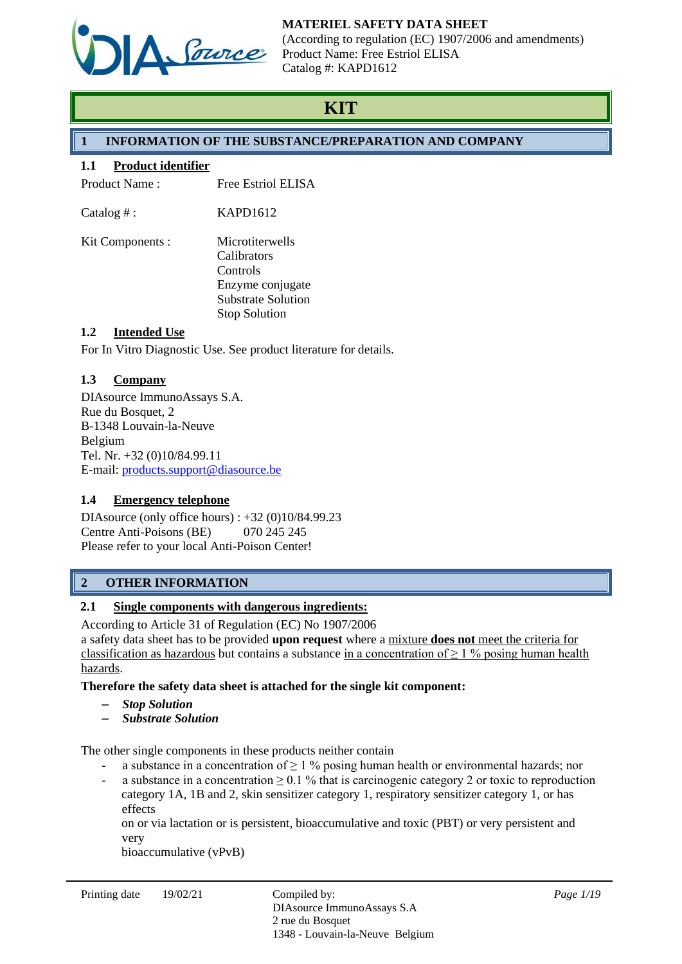

(According to regulation (EC) 1907/2006 and amendments) Product Name: Free Estriol ELISA Catalog #: KAPD1612

# **KIT**

# **1 INFORMATION OF THE SUBSTANCE/PREPARATION AND COMPANY**

### **1.1 Product identifier**

Product Name : Free Estriol ELISA

 $\text{Catalog } \#$ : KAPD1612

Kit Components : Microtiterwells Calibrators Controls Enzyme conjugate Substrate Solution Stop Solution

# **1.2 Intended Use**

For In Vitro Diagnostic Use. See product literature for details.

# **1.3 Company**

DIAsource ImmunoAssays S.A. Rue du Bosquet, 2 B-1348 Louvain-la-Neuve Belgium Tel. Nr. +32 (0)10/84.99.11 E-mail: [products.support@diasource.be](mailto:products.support@diasource.be)

# **1.4 Emergency telephone**

DIAsource (only office hours) : +32 (0)10/84.99.23 Centre Anti-Poisons (BE) 070 245 245 Please refer to your local Anti-Poison Center!

# **2 OTHER INFORMATION**

# **2.1 Single components with dangerous ingredients:**

According to Article 31 of Regulation (EC) No 1907/2006 a safety data sheet has to be provided **upon request** where a mixture **does not** meet the criteria for classification as hazardous but contains a substance in a concentration of  $\geq 1$  % posing human health hazards.

**Therefore the safety data sheet is attached for the single kit component:**

- ‒ *Stop Solution*
- ‒ *Substrate Solution*

The other single components in these products neither contain

- a substance in a concentration of  $\geq 1$  % posing human health or environmental hazards; nor
- a substance in a concentration  $\geq 0.1$  % that is carcinogenic category 2 or toxic to reproduction category 1A, 1B and 2, skin sensitizer category 1, respiratory sensitizer category 1, or has effects

on or via lactation or is persistent, bioaccumulative and toxic (PBT) or very persistent and very

bioaccumulative (vPvB)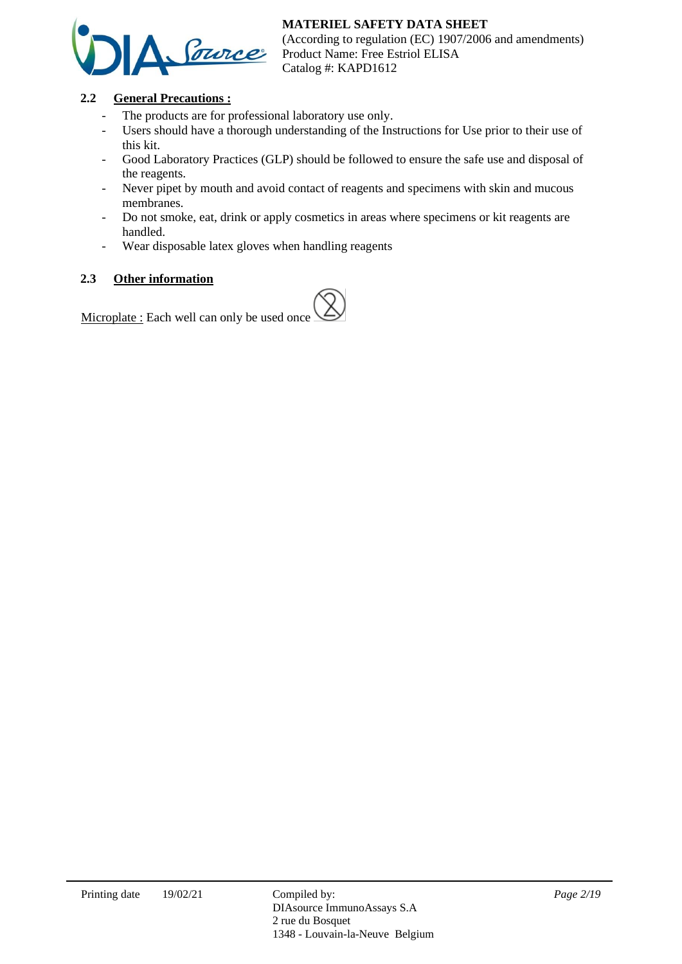

(According to regulation (EC) 1907/2006 and amendments) Product Name: Free Estriol ELISA Catalog #: KAPD1612

# **2.2 General Precautions :**

- The products are for professional laboratory use only.
- Users should have a thorough understanding of the Instructions for Use prior to their use of this kit.
- Good Laboratory Practices (GLP) should be followed to ensure the safe use and disposal of the reagents.
- Never pipet by mouth and avoid contact of reagents and specimens with skin and mucous membranes.
- Do not smoke, eat, drink or apply cosmetics in areas where specimens or kit reagents are handled.
- Wear disposable latex gloves when handling reagents

# **2.3 Other information**

Microplate : Each well can only be used once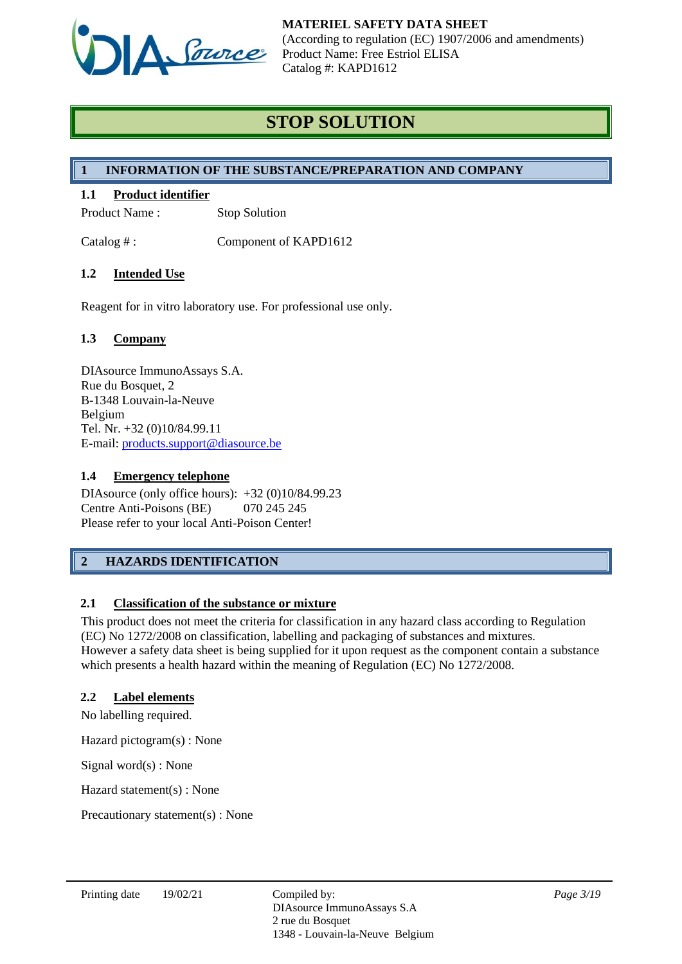

# **STOP SOLUTION**

# **1 INFORMATION OF THE SUBSTANCE/PREPARATION AND COMPANY**

# **1.1 Product identifier**

Product Name : Stop Solution

Catalog #: Component of KAPD1612

# **1.2 Intended Use**

Reagent for in vitro laboratory use. For professional use only.

# **1.3 Company**

DIAsource ImmunoAssays S.A. Rue du Bosquet, 2 B-1348 Louvain-la-Neuve Belgium Tel. Nr. +32 (0)10/84.99.11 E-mail: [products.support@diasource.be](mailto:products.support@diasource.be)

### **1.4 Emergency telephone**

DIAsource (only office hours): +32 (0)10/84.99.23 Centre Anti-Poisons (BE) 070 245 245 Please refer to your local Anti-Poison Center!

# **2 HAZARDS IDENTIFICATION**

# **2.1 Classification of the substance or mixture**

This product does not meet the criteria for classification in any hazard class according to Regulation (EC) No 1272/2008 on classification, labelling and packaging of substances and mixtures. However a safety data sheet is being supplied for it upon request as the component contain a substance which presents a health hazard within the meaning of Regulation (EC) No 1272/2008.

#### **2.2 Label elements**

No labelling required.

Hazard pictogram(s) : None

Signal word(s) : None

Hazard statement(s) : None

Precautionary statement(s) : None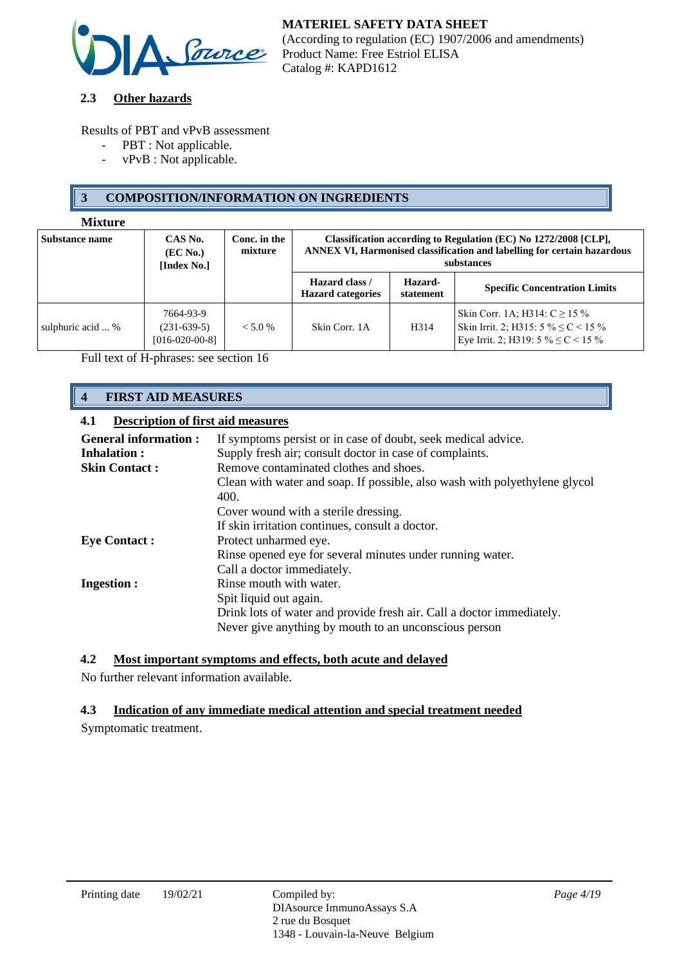

### **2.3 Other hazards**

Results of PBT and vPvB assessment

- PBT : Not applicable.
- vPvB : Not applicable.

# **3 COMPOSITION/INFORMATION ON INGREDIENTS**

#### **Mixture**

| <b>Substance name</b> | CAS No.<br>( <b>EC</b> No.)<br>[Index No.]     | Conc. in the<br>mixture | Classification according to Regulation (EC) No 1272/2008 [CLP],<br><b>ANNEX VI, Harmonised classification and labelling for certain hazardous</b><br>substances |                      |                                                                                                                          |
|-----------------------|------------------------------------------------|-------------------------|-----------------------------------------------------------------------------------------------------------------------------------------------------------------|----------------------|--------------------------------------------------------------------------------------------------------------------------|
|                       |                                                |                         | Hazard class /<br><b>Hazard categories</b>                                                                                                                      | Hazard-<br>statement | <b>Specific Concentration Limits</b>                                                                                     |
| sulphuric acid  %     | 7664-93-9<br>$(231-639-5)$<br>$[016-020-00-8]$ | $< 5.0\%$               | Skin Corr. 1A                                                                                                                                                   | H <sub>3</sub> 14    | Skin Corr. 1A; H314: $C \ge 15\%$<br>Skin Irrit. 2; H315: $5\% \leq C < 15\%$<br>Eye Irrit. 2; H319: $5\% \leq C < 15\%$ |

Full text of H-phrases: see section 16

# **4 FIRST AID MEASURES**

### **4.1 Description of first aid measures**

| <b>General information:</b> | If symptoms persist or in case of doubt, seek medical advice.                      |
|-----------------------------|------------------------------------------------------------------------------------|
| <b>Inhalation:</b>          | Supply fresh air; consult doctor in case of complaints.                            |
| <b>Skin Contact:</b>        | Remove contaminated clothes and shoes.                                             |
|                             | Clean with water and soap. If possible, also wash with polyethylene glycol<br>400. |
|                             | Cover wound with a sterile dressing.                                               |
|                             | If skin irritation continues, consult a doctor.                                    |
| <b>Eye Contact:</b>         | Protect unharmed eye.                                                              |
|                             | Rinse opened eye for several minutes under running water.                          |
|                             | Call a doctor immediately.                                                         |
| <b>Ingestion:</b>           | Rinse mouth with water.                                                            |
|                             | Spit liquid out again.                                                             |
|                             | Drink lots of water and provide fresh air. Call a doctor immediately.              |
|                             | Never give anything by mouth to an unconscious person                              |

# **4.2 Most important symptoms and effects, both acute and delayed**

No further relevant information available.

# **4.3 Indication of any immediate medical attention and special treatment needed**

Symptomatic treatment.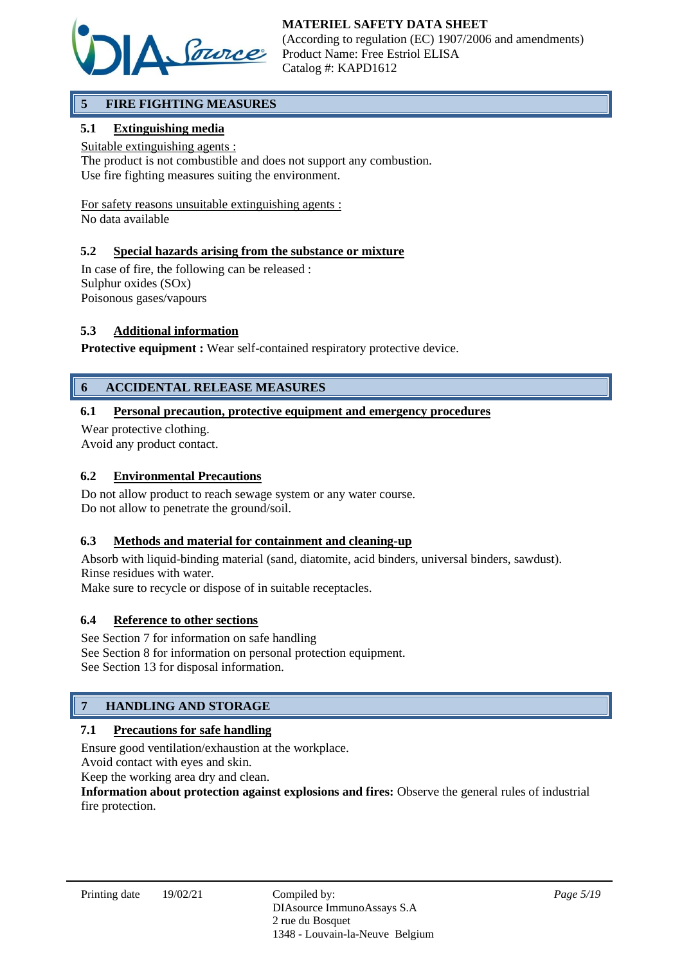

# **5 FIRE FIGHTING MEASURES**

# **5.1 Extinguishing media**

Suitable extinguishing agents :

The product is not combustible and does not support any combustion. Use fire fighting measures suiting the environment.

For safety reasons unsuitable extinguishing agents : No data available

**5.2 Special hazards arising from the substance or mixture**

In case of fire, the following can be released : Sulphur oxides (SOx) Poisonous gases/vapours

# **5.3 Additional information**

**Protective equipment :** Wear self-contained respiratory protective device.

# **6 ACCIDENTAL RELEASE MEASURES**

### **6.1 Personal precaution, protective equipment and emergency procedures**

Wear protective clothing. Avoid any product contact.

#### **6.2 Environmental Precautions**

Do not allow product to reach sewage system or any water course. Do not allow to penetrate the ground/soil.

#### **6.3 Methods and material for containment and cleaning-up**

Absorb with liquid-binding material (sand, diatomite, acid binders, universal binders, sawdust). Rinse residues with water.

Make sure to recycle or dispose of in suitable receptacles.

#### **6.4 Reference to other sections**

See Section 7 for information on safe handling See Section 8 for information on personal protection equipment. See Section 13 for disposal information.

# **7 HANDLING AND STORAGE**

# **7.1 Precautions for safe handling**

Ensure good ventilation/exhaustion at the workplace.

Avoid contact with eyes and skin.

Keep the working area dry and clean.

**Information about protection against explosions and fires:** Observe the general rules of industrial fire protection.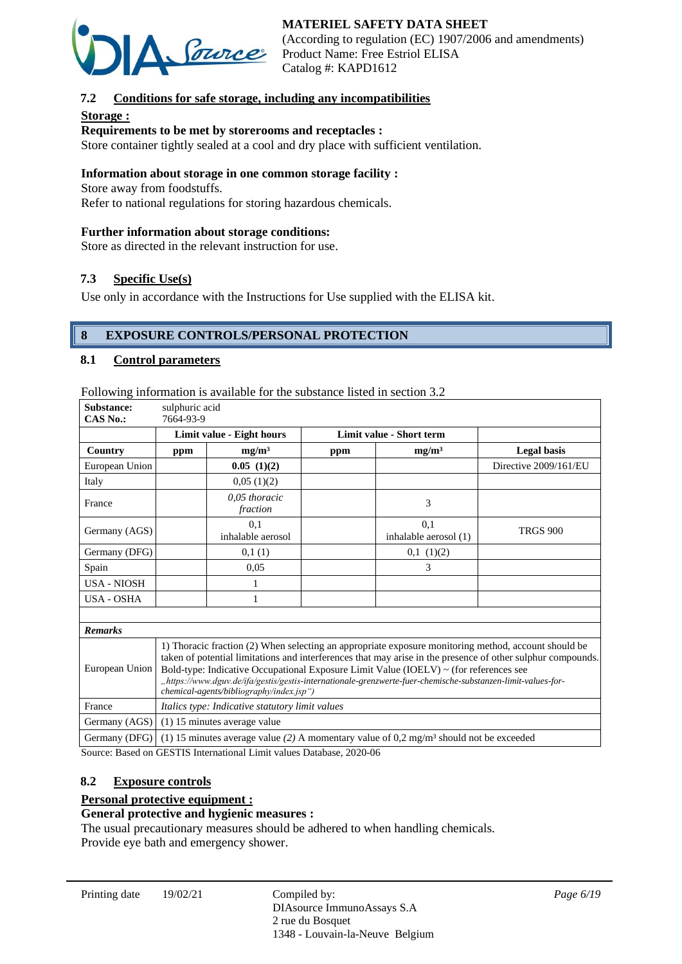

(According to regulation (EC) 1907/2006 and amendments) Product Name: Free Estriol ELISA Catalog #: KAPD1612

# **7.2 Conditions for safe storage, including any incompatibilities**

### **Storage :**

### **Requirements to be met by storerooms and receptacles :**

Store container tightly sealed at a cool and dry place with sufficient ventilation.

#### **Information about storage in one common storage facility :**

Store away from foodstuffs.

Refer to national regulations for storing hazardous chemicals.

#### **Further information about storage conditions:**

Store as directed in the relevant instruction for use.

# **7.3 Specific Use(s)**

Use only in accordance with the Instructions for Use supplied with the ELISA kit.

# **8 EXPOSURE CONTROLS/PERSONAL PROTECTION**

#### **8.1 Control parameters**

Following information is available for the substance listed in section 3.2

| Substance:<br><b>CAS No.:</b> | sulphuric acid<br>7664-93-9                                                                                                                                                                                                                                                                                                                                                                                                                                              |                                                 |     |                                                                                                    |                       |
|-------------------------------|--------------------------------------------------------------------------------------------------------------------------------------------------------------------------------------------------------------------------------------------------------------------------------------------------------------------------------------------------------------------------------------------------------------------------------------------------------------------------|-------------------------------------------------|-----|----------------------------------------------------------------------------------------------------|-----------------------|
|                               |                                                                                                                                                                                                                                                                                                                                                                                                                                                                          | Limit value - Eight hours                       |     | Limit value - Short term                                                                           |                       |
| Country                       | ppm                                                                                                                                                                                                                                                                                                                                                                                                                                                                      | mg/m <sup>3</sup>                               | ppm | mg/m <sup>3</sup>                                                                                  | <b>Legal basis</b>    |
| European Union                |                                                                                                                                                                                                                                                                                                                                                                                                                                                                          | 0.05(1)(2)                                      |     |                                                                                                    | Directive 2009/161/EU |
| Italy                         |                                                                                                                                                                                                                                                                                                                                                                                                                                                                          | 0,05(1)(2)                                      |     |                                                                                                    |                       |
| France                        |                                                                                                                                                                                                                                                                                                                                                                                                                                                                          | 0,05 thoracic<br>fraction                       |     | 3                                                                                                  |                       |
| Germany (AGS)                 |                                                                                                                                                                                                                                                                                                                                                                                                                                                                          | 0.1<br>inhalable aerosol                        |     | 0.1<br>inhalable aerosol (1)                                                                       | <b>TRGS 900</b>       |
| Germany (DFG)                 |                                                                                                                                                                                                                                                                                                                                                                                                                                                                          | 0,1(1)                                          |     | $0,1$ $(1)(2)$                                                                                     |                       |
| Spain                         |                                                                                                                                                                                                                                                                                                                                                                                                                                                                          | 0,05                                            |     | 3                                                                                                  |                       |
| <b>USA - NIOSH</b>            |                                                                                                                                                                                                                                                                                                                                                                                                                                                                          |                                                 |     |                                                                                                    |                       |
| <b>USA - OSHA</b>             |                                                                                                                                                                                                                                                                                                                                                                                                                                                                          | 1                                               |     |                                                                                                    |                       |
|                               |                                                                                                                                                                                                                                                                                                                                                                                                                                                                          |                                                 |     |                                                                                                    |                       |
| <b>Remarks</b>                |                                                                                                                                                                                                                                                                                                                                                                                                                                                                          |                                                 |     |                                                                                                    |                       |
| European Union                | 1) Thoracic fraction (2) When selecting an appropriate exposure monitoring method, account should be<br>taken of potential limitations and interferences that may arise in the presence of other sulphur compounds.<br>Bold-type: Indicative Occupational Exposure Limit Value (IOELV) ~ (for references see<br>"https://www.dguv.de/ifa/gestis/gestis-internationale-grenzwerte-fuer-chemische-substanzen-limit-values-for-<br>chemical-agents/bibliography/index.jsp") |                                                 |     |                                                                                                    |                       |
| France                        |                                                                                                                                                                                                                                                                                                                                                                                                                                                                          | Italics type: Indicative statutory limit values |     |                                                                                                    |                       |
| Germany (AGS)                 |                                                                                                                                                                                                                                                                                                                                                                                                                                                                          | (1) 15 minutes average value                    |     |                                                                                                    |                       |
| Germany (DFG)                 |                                                                                                                                                                                                                                                                                                                                                                                                                                                                          |                                                 |     | (1) 15 minutes average value (2) A momentary value of 0,2 mg/m <sup>3</sup> should not be exceeded |                       |

Source: Based on GESTIS International Limit values Database, 2020-06

#### **8.2 Exposure controls**

#### **Personal protective equipment :**

#### **General protective and hygienic measures :**

The usual precautionary measures should be adhered to when handling chemicals. Provide eye bath and emergency shower.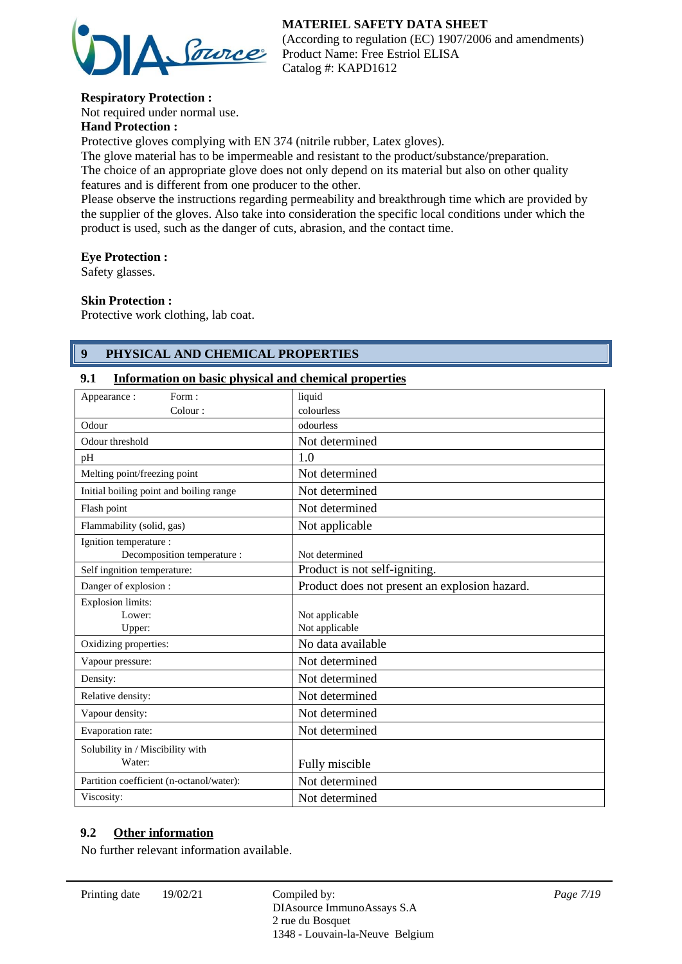

(According to regulation (EC) 1907/2006 and amendments) Product Name: Free Estriol ELISA Catalog #: KAPD1612

# **Respiratory Protection :**

Not required under normal use.

# **Hand Protection :**

Protective gloves complying with EN 374 (nitrile rubber, Latex gloves).

The glove material has to be impermeable and resistant to the product/substance/preparation. The choice of an appropriate glove does not only depend on its material but also on other quality features and is different from one producer to the other.

Please observe the instructions regarding permeability and breakthrough time which are provided by the supplier of the gloves. Also take into consideration the specific local conditions under which the product is used, such as the danger of cuts, abrasion, and the contact time.

#### **Eye Protection :**

Safety glasses.

#### **Skin Protection :**

Protective work clothing, lab coat.

# **9 PHYSICAL AND CHEMICAL PROPERTIES**

#### **9.1 Information on basic physical and chemical properties**

| Form:<br>Appearance:                     | liquid                                        |
|------------------------------------------|-----------------------------------------------|
| Colour:                                  | colourless                                    |
| Odour                                    | odourless                                     |
| Odour threshold                          | Not determined                                |
| pH                                       | 1.0                                           |
| Melting point/freezing point             | Not determined                                |
| Initial boiling point and boiling range  | Not determined                                |
| Flash point                              | Not determined                                |
| Flammability (solid, gas)                | Not applicable                                |
| Ignition temperature :                   |                                               |
| Decomposition temperature :              | Not determined                                |
| Self ingnition temperature:              | Product is not self-igniting.                 |
| Danger of explosion :                    | Product does not present an explosion hazard. |
| <b>Explosion limits:</b>                 |                                               |
| Lower:                                   | Not applicable                                |
| Upper:                                   | Not applicable                                |
| Oxidizing properties:                    | No data available                             |
| Vapour pressure:                         | Not determined                                |
| Density:                                 | Not determined                                |
| Relative density:                        | Not determined                                |
| Vapour density:                          | Not determined                                |
| Evaporation rate:                        | Not determined                                |
| Solubility in / Miscibility with         |                                               |
| Water:                                   | Fully miscible                                |
| Partition coefficient (n-octanol/water): | Not determined                                |
| Viscosity:                               | Not determined                                |

### **9.2 Other information**

No further relevant information available.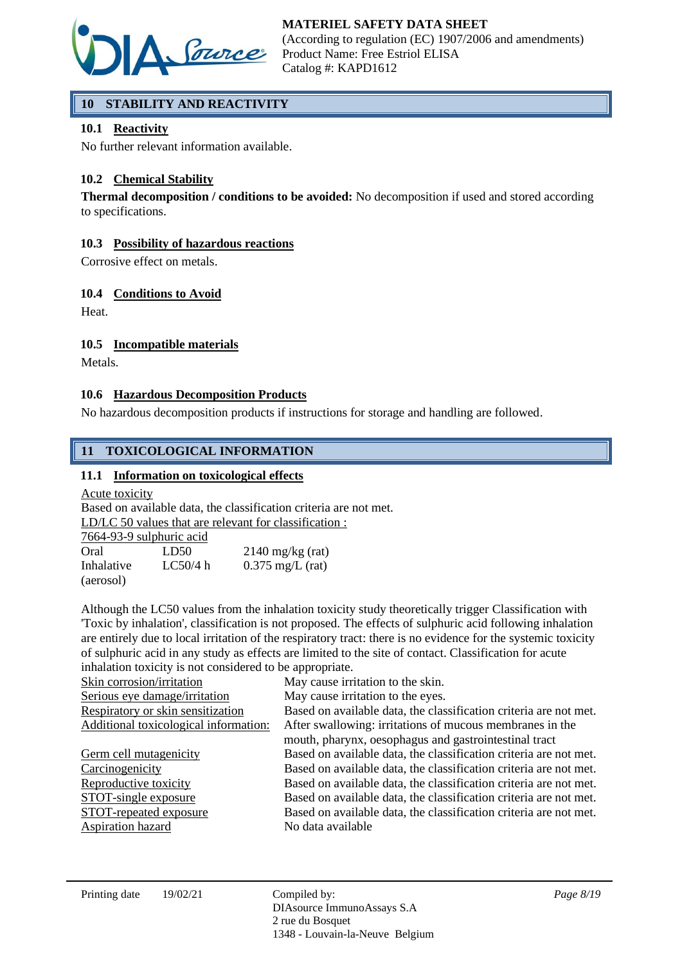

# **10 STABILITY AND REACTIVITY**

# **10.1 Reactivity**

No further relevant information available.

# **10.2 Chemical Stability**

**Thermal decomposition / conditions to be avoided:** No decomposition if used and stored according to specifications.

# **10.3 Possibility of hazardous reactions**

Corrosive effect on metals.

# **10.4 Conditions to Avoid**

Heat.

# **10.5 Incompatible materials**

Metals.

# **10.6 Hazardous Decomposition Products**

No hazardous decomposition products if instructions for storage and handling are followed.

# **11 TOXICOLOGICAL INFORMATION**

### **11.1 Information on toxicological effects**

Acute toxicity

Based on available data, the classification criteria are not met. LD/LC 50 values that are relevant for classification :

| 7664-93-9 sulphuric acid |
|--------------------------|
|--------------------------|

| Oral       | LD50     | $2140$ mg/kg (rat)         |
|------------|----------|----------------------------|
| Inhalative | LC50/4 h | $0.375 \text{ mg/L}$ (rat) |
| (aerosol)  |          |                            |

Although the LC50 values from the inhalation toxicity study theoretically trigger Classification with 'Toxic by inhalation', classification is not proposed. The effects of sulphuric acid following inhalation are entirely due to local irritation of the respiratory tract: there is no evidence for the systemic toxicity of sulphuric acid in any study as effects are limited to the site of contact. Classification for acute inhalation toxicity is not considered to be appropriate.

| Skin corrosion/irritation             | May cause irritation to the skin.                                 |
|---------------------------------------|-------------------------------------------------------------------|
| Serious eye damage/irritation         | May cause irritation to the eyes.                                 |
| Respiratory or skin sensitization     | Based on available data, the classification criteria are not met. |
| Additional toxicological information: | After swallowing: irritations of mucous membranes in the          |
|                                       | mouth, pharynx, oesophagus and gastrointestinal tract             |
| Germ cell mutagenicity                | Based on available data, the classification criteria are not met. |
| Carcinogenicity                       | Based on available data, the classification criteria are not met. |
| Reproductive toxicity                 | Based on available data, the classification criteria are not met. |
| STOT-single exposure                  | Based on available data, the classification criteria are not met. |
| STOT-repeated exposure                | Based on available data, the classification criteria are not met. |
| Aspiration hazard                     | No data available                                                 |
|                                       |                                                                   |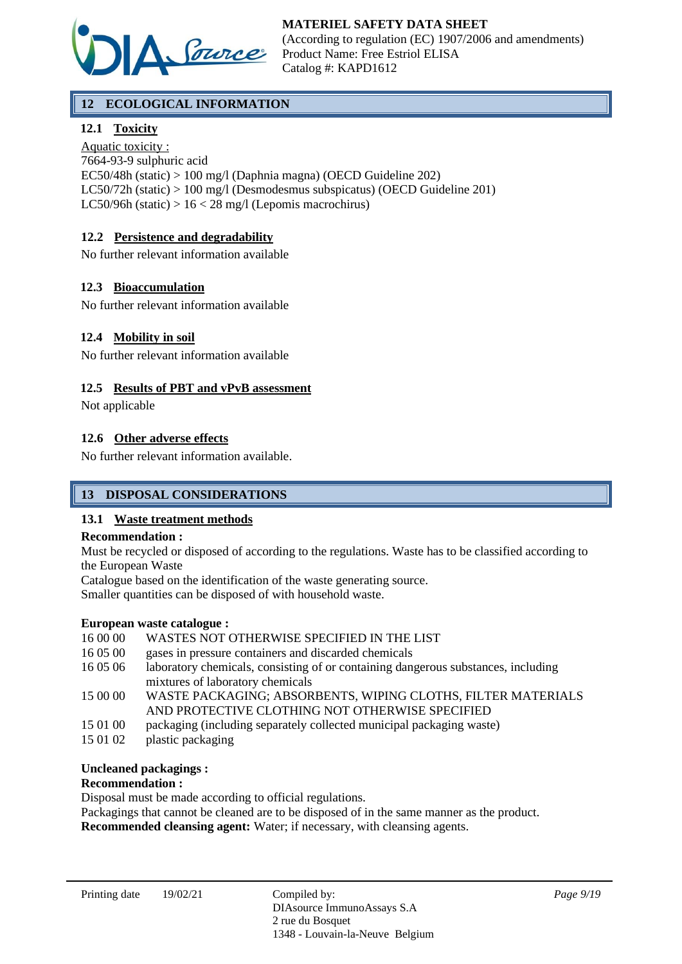

# **12 ECOLOGICAL INFORMATION**

# **12.1 Toxicity**

Aquatic toxicity : 7664-93-9 sulphuric acid EC50/48h (static) > 100 mg/l (Daphnia magna) (OECD Guideline 202) LC50/72h (static) > 100 mg/l (Desmodesmus subspicatus) (OECD Guideline 201) LC50/96h (static)  $> 16 < 28$  mg/l (Lepomis macrochirus)

# **12.2 Persistence and degradability**

No further relevant information available

### **12.3 Bioaccumulation**

No further relevant information available

#### **12.4 Mobility in soil**

No further relevant information available

#### **12.5 Results of PBT and vPvB assessment**

Not applicable

#### **12.6 Other adverse effects**

No further relevant information available.

# **13 DISPOSAL CONSIDERATIONS**

#### **13.1 Waste treatment methods**

#### **Recommendation :**

Must be recycled or disposed of according to the regulations. Waste has to be classified according to the European Waste

Catalogue based on the identification of the waste generating source. Smaller quantities can be disposed of with household waste.

#### **European waste catalogue :**

16 00 00 WASTES NOT OTHERWISE SPECIFIED IN THE LIST

- 16 05 00 gases in pressure containers and discarded chemicals
- 16 05 06 laboratory chemicals, consisting of or containing dangerous substances, including mixtures of laboratory chemicals
- 15 00 00 WASTE PACKAGING; ABSORBENTS, WIPING CLOTHS, FILTER MATERIALS AND PROTECTIVE CLOTHING NOT OTHERWISE SPECIFIED
- 15 01 00 packaging (including separately collected municipal packaging waste)
- 15 01 02 plastic packaging

#### **Uncleaned packagings :**

#### **Recommendation :**

Disposal must be made according to official regulations.

Packagings that cannot be cleaned are to be disposed of in the same manner as the product.

**Recommended cleansing agent:** Water; if necessary, with cleansing agents.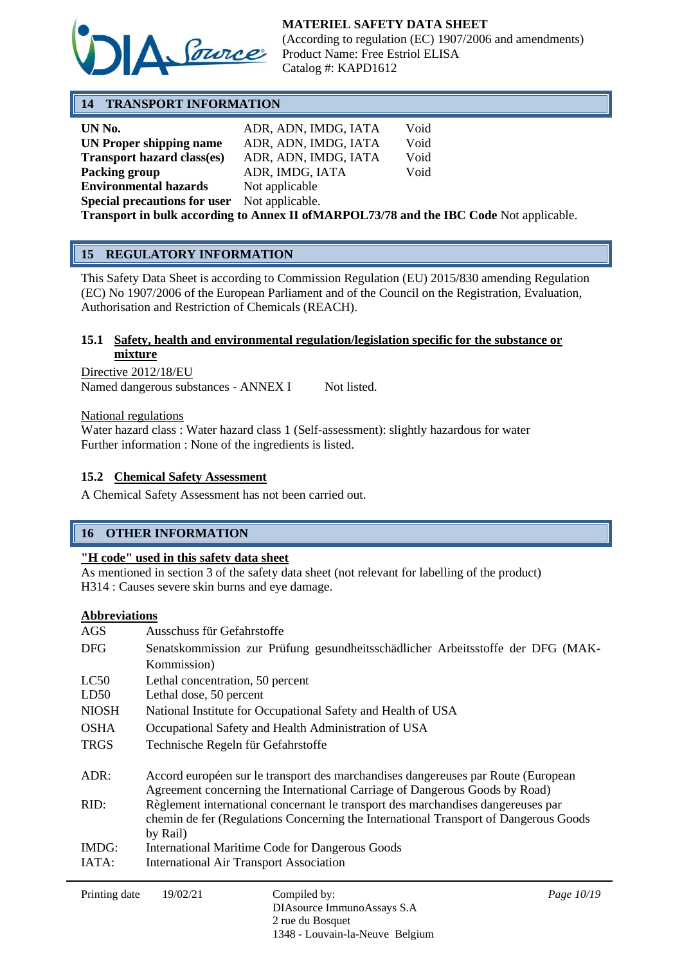

(According to regulation (EC) 1907/2006 and amendments) Product Name: Free Estriol ELISA Catalog #: KAPD1612

# **14 TRANSPORT INFORMATION**

| UN No.                                                                                  | ADR, ADN, IMDG, IATA | Void |
|-----------------------------------------------------------------------------------------|----------------------|------|
| UN Proper shipping name                                                                 | ADR, ADN, IMDG, IATA | Void |
| <b>Transport hazard class(es)</b>                                                       | ADR, ADN, IMDG, IATA | Void |
| Packing group                                                                           | ADR, IMDG, IATA      | Void |
| <b>Environmental hazards</b>                                                            | Not applicable       |      |
| <b>Special precautions for user</b> Not applicable.                                     |                      |      |
| Transport in bulk according to Annex II of MARPOL73/78 and the IBC Code Not applicable. |                      |      |

# **15 REGULATORY INFORMATION**

This Safety Data Sheet is according to Commission Regulation (EU) 2015/830 amending Regulation (EC) No 1907/2006 of the European Parliament and of the Council on the Registration, Evaluation, Authorisation and Restriction of Chemicals (REACH).

### **15.1 Safety, health and environmental regulation/legislation specific for the substance or mixture**

Directive 2012/18/EU Named dangerous substances - ANNEX I Not listed.

National regulations

Water hazard class : Water hazard class 1 (Self-assessment): slightly hazardous for water Further information : None of the ingredients is listed.

### **15.2 Chemical Safety Assessment**

A Chemical Safety Assessment has not been carried out.

# **16 OTHER INFORMATION**

#### **"H code" used in this safety data sheet**

As mentioned in section 3 of the safety data sheet (not relevant for labelling of the product) H314 : Causes severe skin burns and eye damage.

#### **Abbreviations**

| AGS          | Ausschuss für Gefahrstoffe                                                           |
|--------------|--------------------------------------------------------------------------------------|
| <b>DFG</b>   | Senatskommission zur Prüfung gesundheitsschädlicher Arbeitsstoffe der DFG (MAK-      |
|              | Kommission)                                                                          |
| LC50         | Lethal concentration, 50 percent                                                     |
| LD50         | Lethal dose, 50 percent                                                              |
| <b>NIOSH</b> | National Institute for Occupational Safety and Health of USA                         |
| <b>OSHA</b>  | Occupational Safety and Health Administration of USA                                 |
| <b>TRGS</b>  | Technische Regeln für Gefahrstoffe                                                   |
|              |                                                                                      |
| ADR:         | Accord européen sur le transport des marchandises dangereuses par Route (European    |
|              | Agreement concerning the International Carriage of Dangerous Goods by Road)          |
| RID:         | Règlement international concernant le transport des marchandises dangereuses par     |
|              | chemin de fer (Regulations Concerning the International Transport of Dangerous Goods |
|              | by Rail)                                                                             |
| IMDG:        | International Maritime Code for Dangerous Goods                                      |
| IATA:        | <b>International Air Transport Association</b>                                       |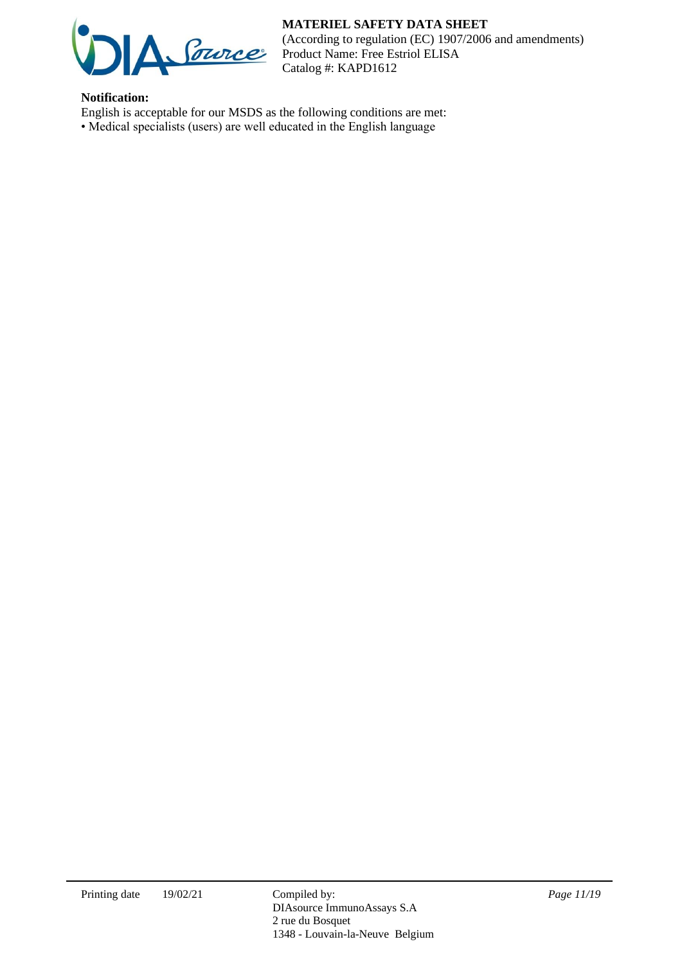

(According to regulation (EC) 1907/2006 and amendments) Product Name: Free Estriol ELISA Catalog #: KAPD1612

# **Notification:**

- English is acceptable for our MSDS as the following conditions are met:
- Medical specialists (users) are well educated in the English language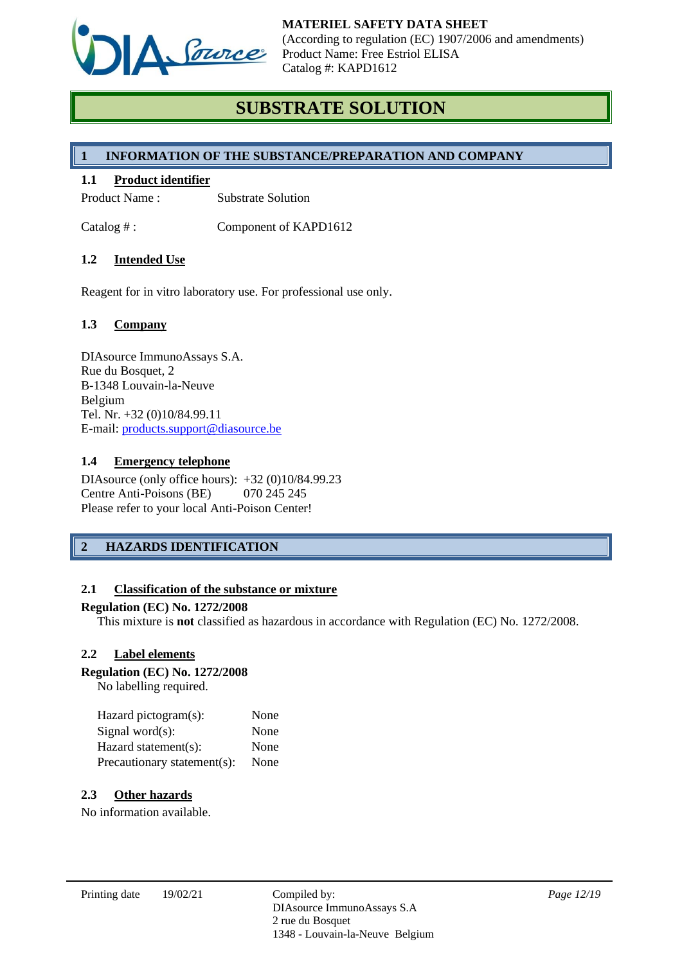

# **SUBSTRATE SOLUTION**

# **1 INFORMATION OF THE SUBSTANCE/PREPARATION AND COMPANY**

#### **1.1 Product identifier**

Product Name : Substrate Solution

Catalog #: Component of KAPD1612

### **1.2 Intended Use**

Reagent for in vitro laboratory use. For professional use only.

### **1.3 Company**

DIAsource ImmunoAssays S.A. Rue du Bosquet, 2 B-1348 Louvain-la-Neuve Belgium Tel. Nr. +32 (0)10/84.99.11 E-mail: [products.support@diasource.be](mailto:products.support@diasource.be)

#### **1.4 Emergency telephone**

DIAsource (only office hours): +32 (0)10/84.99.23 Centre Anti-Poisons (BE) 070 245 245 Please refer to your local Anti-Poison Center!

# **2 HAZARDS IDENTIFICATION**

#### **2.1 Classification of the substance or mixture**

#### **Regulation (EC) No. 1272/2008**

This mixture is **not** classified as hazardous in accordance with Regulation (EC) No. 1272/2008.

#### **2.2 Label elements**

#### **Regulation (EC) No. 1272/2008**

No labelling required.

| Hazard pictogram(s):        | None |
|-----------------------------|------|
| Signal word $(s)$ :         | None |
| Hazard statement(s):        | None |
| Precautionary statement(s): | None |

### **2.3 Other hazards**

No information available.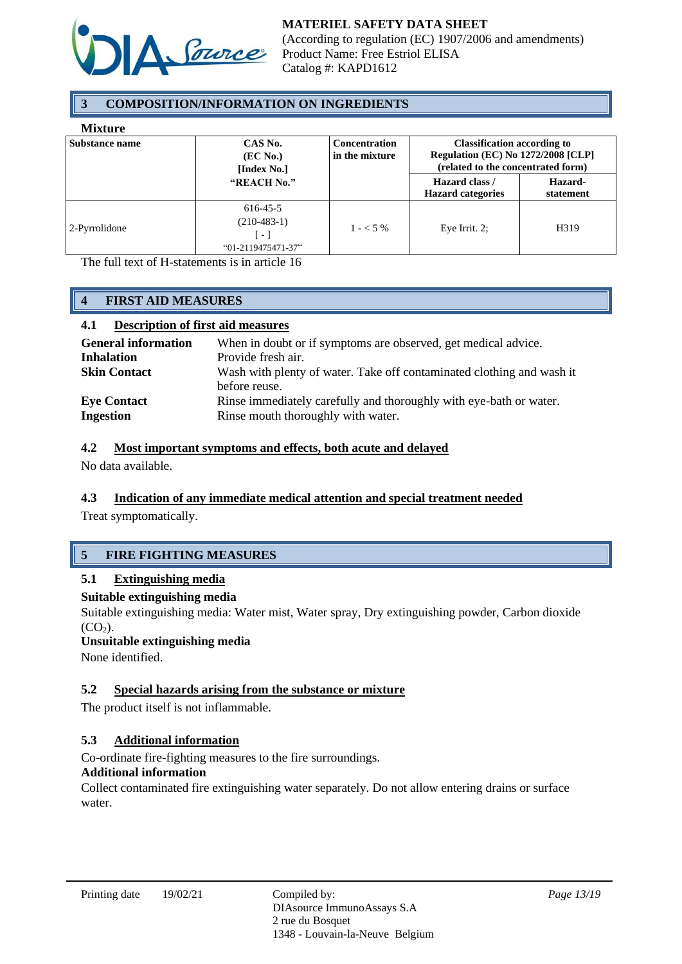

# **3 COMPOSITION/INFORMATION ON INGREDIENTS**

#### **Mixture**

| www.c                 |                                                               |                                        |                                                                                                                       |                      |
|-----------------------|---------------------------------------------------------------|----------------------------------------|-----------------------------------------------------------------------------------------------------------------------|----------------------|
| <b>Substance name</b> | CAS No.<br>(EC No.)<br>[Index No.]                            | <b>Concentration</b><br>in the mixture | <b>Classification according to</b><br><b>Regulation (EC) No 1272/2008 [CLP]</b><br>(related to the concentrated form) |                      |
|                       | "REACH No."                                                   |                                        | Hazard class /<br><b>Hazard categories</b>                                                                            | Hazard-<br>statement |
| 2-Pyrrolidone         | 616-45-5<br>$(210-483-1)$<br>$\sim$ 1<br>$"01-2119475471-37"$ | $1 - 5\%$                              | Eye Irrit. $2$ ;                                                                                                      | H319                 |

The full text of H-statements is in article 16

# **4 FIRST AID MEASURES**

### **4.1 Description of first aid measures**

| <b>General information</b>             | When in doubt or if symptoms are observed, get medical advice.                                           |
|----------------------------------------|----------------------------------------------------------------------------------------------------------|
| <b>Inhalation</b>                      | Provide fresh air.                                                                                       |
| <b>Skin Contact</b>                    | Wash with plenty of water. Take off contaminated clothing and wash it<br>before reuse.                   |
| <b>Eye Contact</b><br><b>Ingestion</b> | Rinse immediately carefully and thoroughly with eye-bath or water.<br>Rinse mouth thoroughly with water. |

### **4.2 Most important symptoms and effects, both acute and delayed**

No data available.

# **4.3 Indication of any immediate medical attention and special treatment needed**

Treat symptomatically.

# **5 FIRE FIGHTING MEASURES**

# **5.1 Extinguishing media**

### **Suitable extinguishing media**

Suitable extinguishing media: Water mist, Water spray, Dry extinguishing powder, Carbon dioxide  $(CO<sub>2</sub>)$ .

#### **Unsuitable extinguishing media**

None identified.

# **5.2 Special hazards arising from the substance or mixture**

The product itself is not inflammable.

# **5.3 Additional information**

Co-ordinate fire-fighting measures to the fire surroundings.

### **Additional information**

Collect contaminated fire extinguishing water separately. Do not allow entering drains or surface water.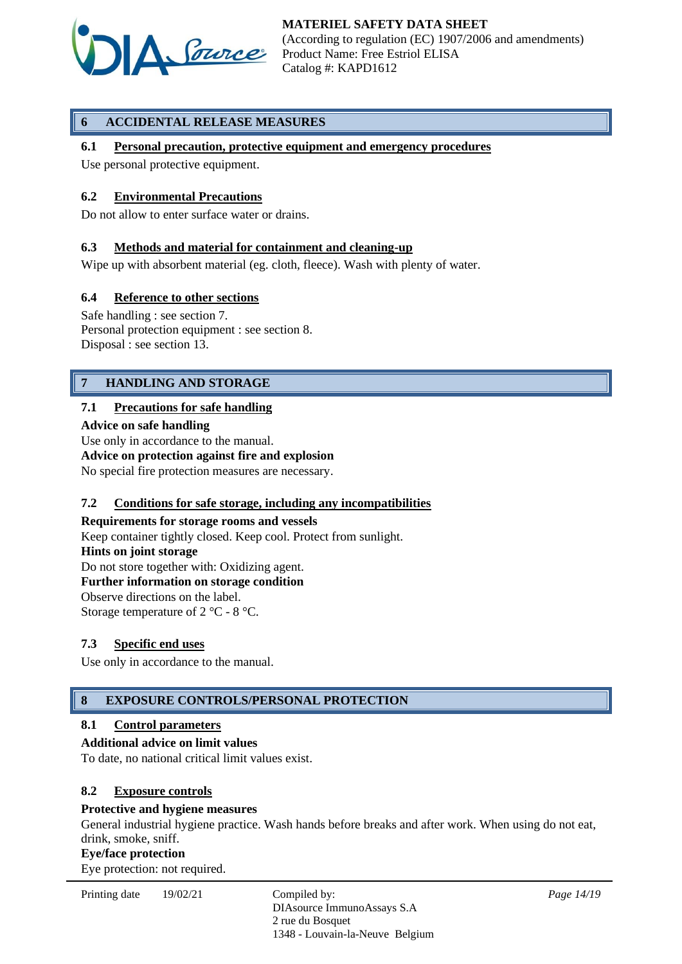

# **6 ACCIDENTAL RELEASE MEASURES**

# **6.1 Personal precaution, protective equipment and emergency procedures**

Use personal protective equipment.

### **6.2 Environmental Precautions**

Do not allow to enter surface water or drains.

### **6.3 Methods and material for containment and cleaning-up**

Wipe up with absorbent material (eg. cloth, fleece). Wash with plenty of water.

### **6.4 Reference to other sections**

Safe handling : see section 7. Personal protection equipment : see section 8. Disposal : see section 13.

# **7 HANDLING AND STORAGE**

### **7.1 Precautions for safe handling**

**Advice on safe handling**

Use only in accordance to the manual.

# **Advice on protection against fire and explosion**

No special fire protection measures are necessary.

#### **7.2 Conditions for safe storage, including any incompatibilities**

**Requirements for storage rooms and vessels** Keep container tightly closed. Keep cool. Protect from sunlight. **Hints on joint storage** Do not store together with: Oxidizing agent. **Further information on storage condition** Observe directions on the label. Storage temperature of 2 °C - 8 °C.

# **7.3 Specific end uses**

Use only in accordance to the manual.

# **8 EXPOSURE CONTROLS/PERSONAL PROTECTION**

#### **8.1 Control parameters**

#### **Additional advice on limit values**

To date, no national critical limit values exist.

#### **8.2 Exposure controls**

#### **Protective and hygiene measures**

General industrial hygiene practice. Wash hands before breaks and after work. When using do not eat, drink, smoke, sniff.

#### **Eye/face protection**

Eye protection: not required.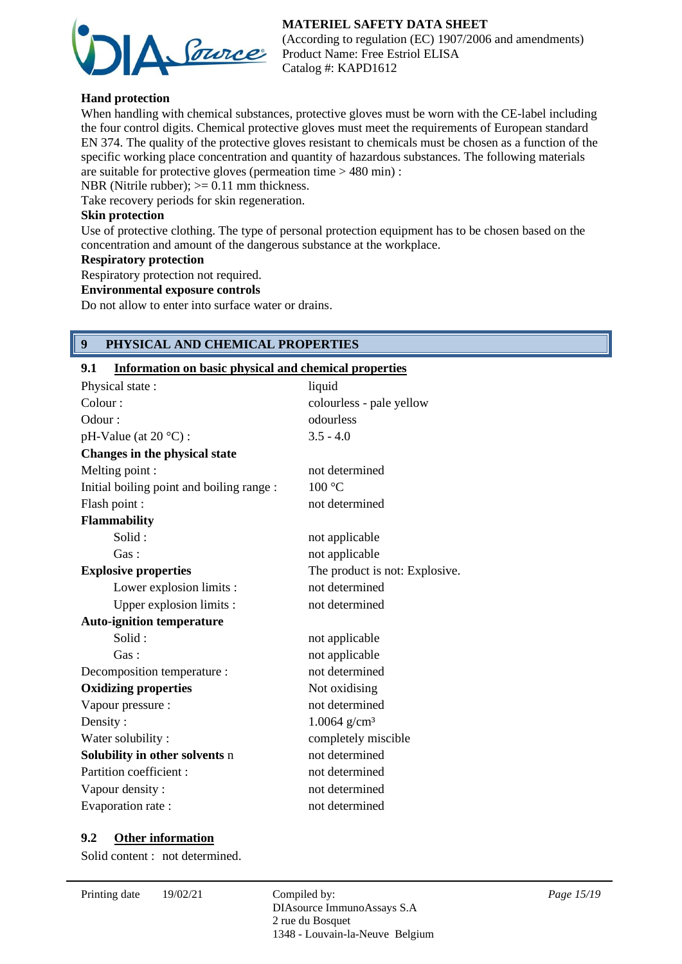

(According to regulation (EC) 1907/2006 and amendments) Product Name: Free Estriol ELISA Catalog #: KAPD1612

# **Hand protection**

When handling with chemical substances, protective gloves must be worn with the CE-label including the four control digits. Chemical protective gloves must meet the requirements of European standard EN 374. The quality of the protective gloves resistant to chemicals must be chosen as a function of the specific working place concentration and quantity of hazardous substances. The following materials are suitable for protective gloves (permeation time > 480 min) :

NBR (Nitrile rubber);  $>= 0.11$  mm thickness.

Take recovery periods for skin regeneration.

### **Skin protection**

Use of protective clothing. The type of personal protection equipment has to be chosen based on the concentration and amount of the dangerous substance at the workplace.

#### **Respiratory protection**

Respiratory protection not required.

### **Environmental exposure controls**

Do not allow to enter into surface water or drains.

# **9 PHYSICAL AND CHEMICAL PROPERTIES**

### **9.1 Information on basic physical and chemical properties**

| Physical state:                           | liquid                         |
|-------------------------------------------|--------------------------------|
| Colour:                                   | colourless - pale yellow       |
| Odour:                                    | odourless                      |
| pH-Value (at 20 °C):                      | $3.5 - 4.0$                    |
| Changes in the physical state             |                                |
| Melting point :                           | not determined                 |
| Initial boiling point and boiling range : | 100 °C                         |
| Flash point :                             | not determined                 |
| <b>Flammability</b>                       |                                |
| Solid:                                    | not applicable                 |
| Gas:                                      | not applicable                 |
| <b>Explosive properties</b>               | The product is not: Explosive. |
| Lower explosion limits :                  | not determined                 |
| Upper explosion limits :                  | not determined                 |
| <b>Auto-ignition temperature</b>          |                                |
| Solid:                                    | not applicable                 |
| Gas:                                      | not applicable                 |
| Decomposition temperature :               | not determined                 |
| <b>Oxidizing properties</b>               | Not oxidising                  |
| Vapour pressure :                         | not determined                 |
| Density:                                  | $1.0064$ g/cm <sup>3</sup>     |
| Water solubility:                         | completely miscible            |
| Solubility in other solvents n            | not determined                 |
| Partition coefficient:                    | not determined                 |
| Vapour density :                          | not determined                 |
| Evaporation rate :                        | not determined                 |

#### **9.2 Other information**

Solid content : not determined.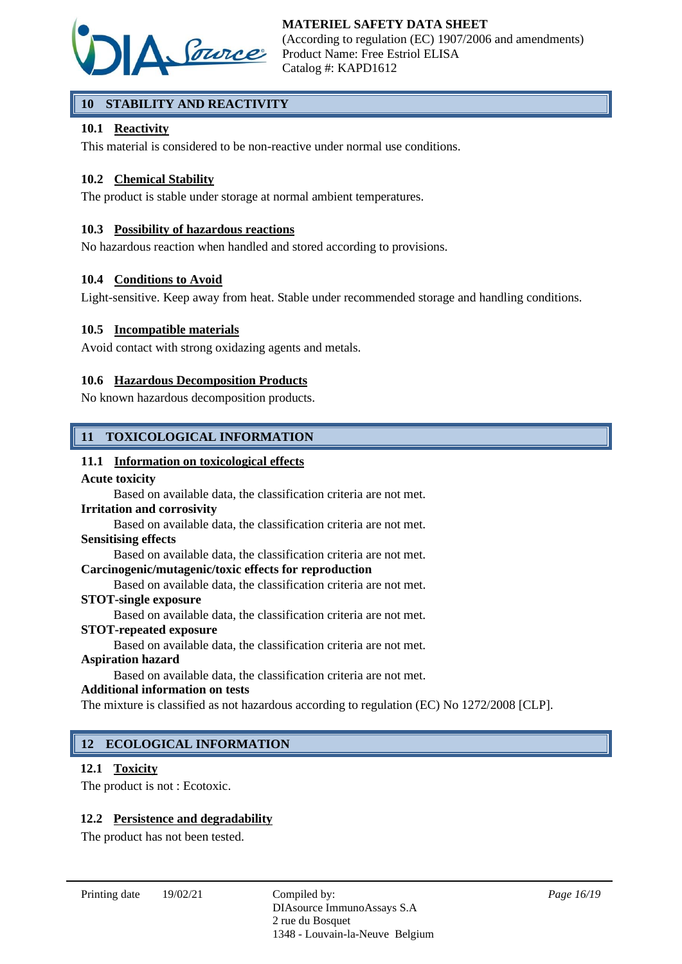

# **10 STABILITY AND REACTIVITY**

# **10.1 Reactivity**

This material is considered to be non-reactive under normal use conditions.

### **10.2 Chemical Stability**

The product is stable under storage at normal ambient temperatures.

#### **10.3 Possibility of hazardous reactions**

No hazardous reaction when handled and stored according to provisions.

#### **10.4 Conditions to Avoid**

Light-sensitive. Keep away from heat. Stable under recommended storage and handling conditions.

#### **10.5 Incompatible materials**

Avoid contact with strong oxidazing agents and metals.

#### **10.6 Hazardous Decomposition Products**

No known hazardous decomposition products.

# **11 TOXICOLOGICAL INFORMATION**

#### **11.1 Information on toxicological effects**

#### **Acute toxicity**

Based on available data, the classification criteria are not met.

#### **Irritation and corrosivity**

Based on available data, the classification criteria are not met.

#### **Sensitising effects**

Based on available data, the classification criteria are not met.

### **Carcinogenic/mutagenic/toxic effects for reproduction**

Based on available data, the classification criteria are not met.

#### **STOT-single exposure**

Based on available data, the classification criteria are not met.

#### **STOT-repeated exposure**

Based on available data, the classification criteria are not met.

### **Aspiration hazard**

Based on available data, the classification criteria are not met.

#### **Additional information on tests**

The mixture is classified as not hazardous according to regulation (EC) No 1272/2008 [CLP].

# **12 ECOLOGICAL INFORMATION**

#### **12.1 Toxicity**

The product is not : Ecotoxic.

#### **12.2 Persistence and degradability**

The product has not been tested.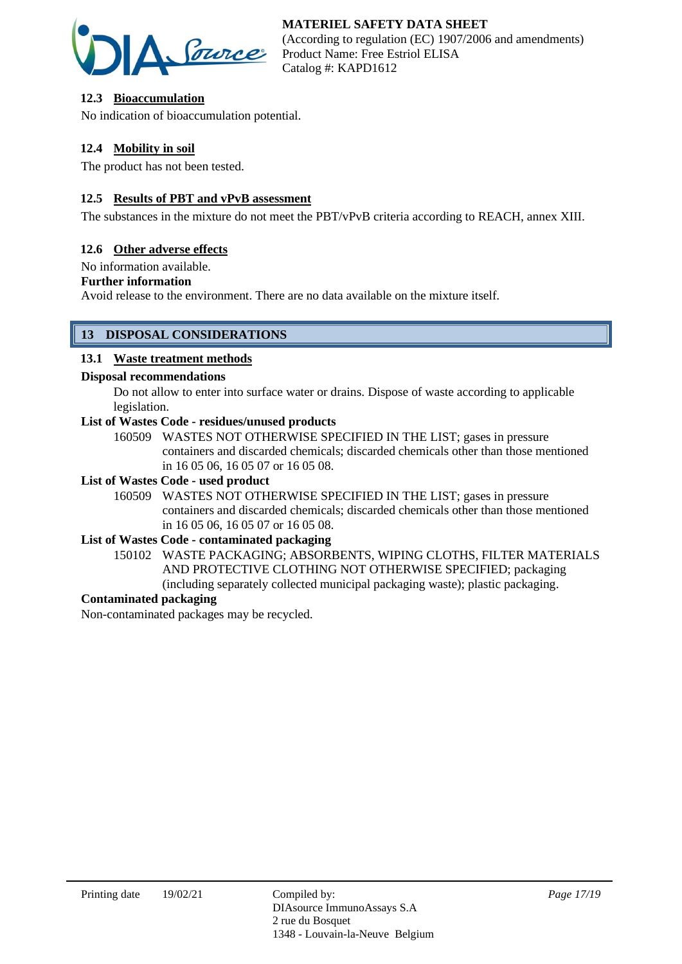

# **12.3 Bioaccumulation**

No indication of bioaccumulation potential.

# **12.4 Mobility in soil**

The product has not been tested.

### **12.5 Results of PBT and vPvB assessment**

The substances in the mixture do not meet the PBT/vPvB criteria according to REACH, annex XIII.

### **12.6 Other adverse effects**

No information available.

#### **Further information**

Avoid release to the environment. There are no data available on the mixture itself.

# **13 DISPOSAL CONSIDERATIONS**

#### **13.1 Waste treatment methods**

#### **Disposal recommendations**

Do not allow to enter into surface water or drains. Dispose of waste according to applicable legislation.

### **List of Wastes Code - residues/unused products**

160509 WASTES NOT OTHERWISE SPECIFIED IN THE LIST; gases in pressure containers and discarded chemicals; discarded chemicals other than those mentioned in 16 05 06, 16 05 07 or 16 05 08.

#### **List of Wastes Code - used product**

160509 WASTES NOT OTHERWISE SPECIFIED IN THE LIST; gases in pressure containers and discarded chemicals; discarded chemicals other than those mentioned in 16 05 06, 16 05 07 or 16 05 08.

# **List of Wastes Code - contaminated packaging**

150102 WASTE PACKAGING; ABSORBENTS, WIPING CLOTHS, FILTER MATERIALS AND PROTECTIVE CLOTHING NOT OTHERWISE SPECIFIED; packaging (including separately collected municipal packaging waste); plastic packaging.

# **Contaminated packaging**

Non-contaminated packages may be recycled.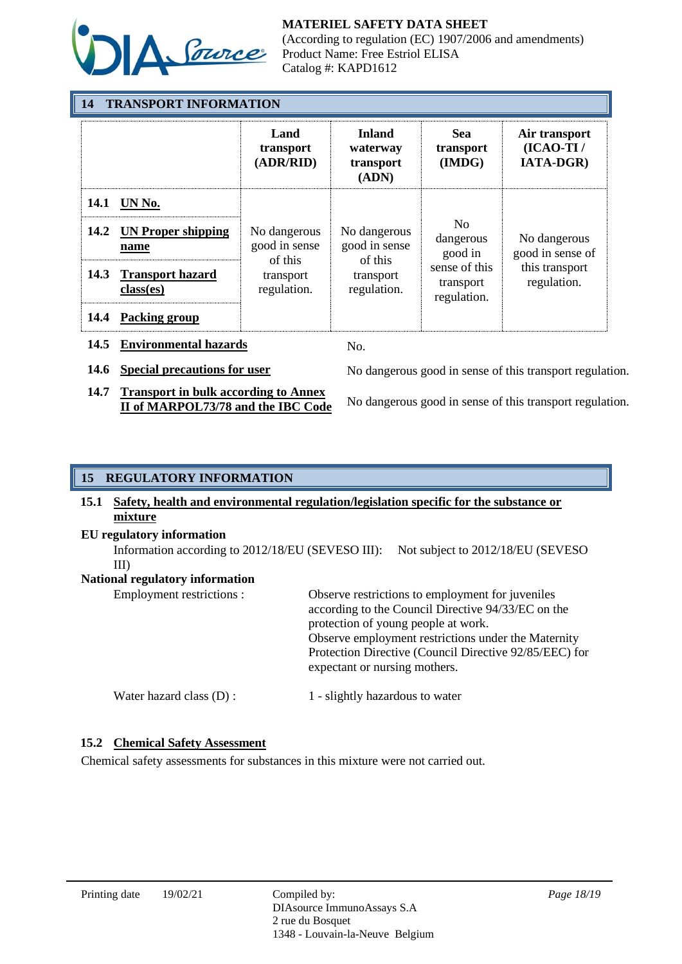

(According to regulation (EC) 1907/2006 and amendments) Product Name: Free Estriol ELISA Catalog #: KAPD1612

| <b>14 TRANSPORT INFORMATION</b> |                                      |                                                                      |                                                 |                                                                                     |                                                                   |  |
|---------------------------------|--------------------------------------|----------------------------------------------------------------------|-------------------------------------------------|-------------------------------------------------------------------------------------|-------------------------------------------------------------------|--|
|                                 |                                      | Land<br>transport<br>(ADR/RID)                                       | <b>Inland</b><br>waterway<br>transport<br>(ADN) | Sea<br>transport<br>(IMDG)                                                          | Air transport<br>$(ICAO-TI/$<br><b>IATA-DGR)</b>                  |  |
|                                 | 14.1 UN No.                          | No dangerous<br>good in sense<br>of this<br>transport<br>regulation. | No dangerous<br>good in sense                   | N <sub>0</sub><br>dangerous<br>good in<br>sense of this<br>transport<br>regulation. | No dangerous<br>good in sense of<br>this transport<br>regulation. |  |
| 14.2                            | <b>UN Proper shipping</b><br>name    |                                                                      |                                                 |                                                                                     |                                                                   |  |
| <b>14.3</b>                     | <b>Transport hazard</b><br>class(es) |                                                                      | of this<br>transport<br>regulation.             |                                                                                     |                                                                   |  |
| 14.4                            | <b>Packing group</b>                 |                                                                      |                                                 |                                                                                     |                                                                   |  |
| 14.5                            | <b>Environmental hazards</b>         |                                                                      | No.                                             |                                                                                     |                                                                   |  |

**14.7 Transport in bulk according to Annex** 

**14.6 Special precautions for user** No dangerous good in sense of this transport regulation.

**II of MARPOL73/78 and the IBC Code** No dangerous good in sense of this transport regulation.

# **15 REGULATORY INFORMATION**

# **15.1 Safety, health and environmental regulation/legislation specific for the substance or mixture**

**EU regulatory information**

Information according to 2012/18/EU (SEVESO III): Not subject to 2012/18/EU (SEVESO III)

**National regulatory information**

| Employment restrictions : | Observe restrictions to employment for juveniles<br>according to the Council Directive 94/33/EC on the<br>protection of young people at work.<br>Observe employment restrictions under the Maternity<br>Protection Directive (Council Directive 92/85/EEC) for<br>expectant or nursing mothers. |
|---------------------------|-------------------------------------------------------------------------------------------------------------------------------------------------------------------------------------------------------------------------------------------------------------------------------------------------|
| Water hazard class (D) :  | 1 - slightly hazardous to water                                                                                                                                                                                                                                                                 |

# **15.2 Chemical Safety Assessment**

Chemical safety assessments for substances in this mixture were not carried out.